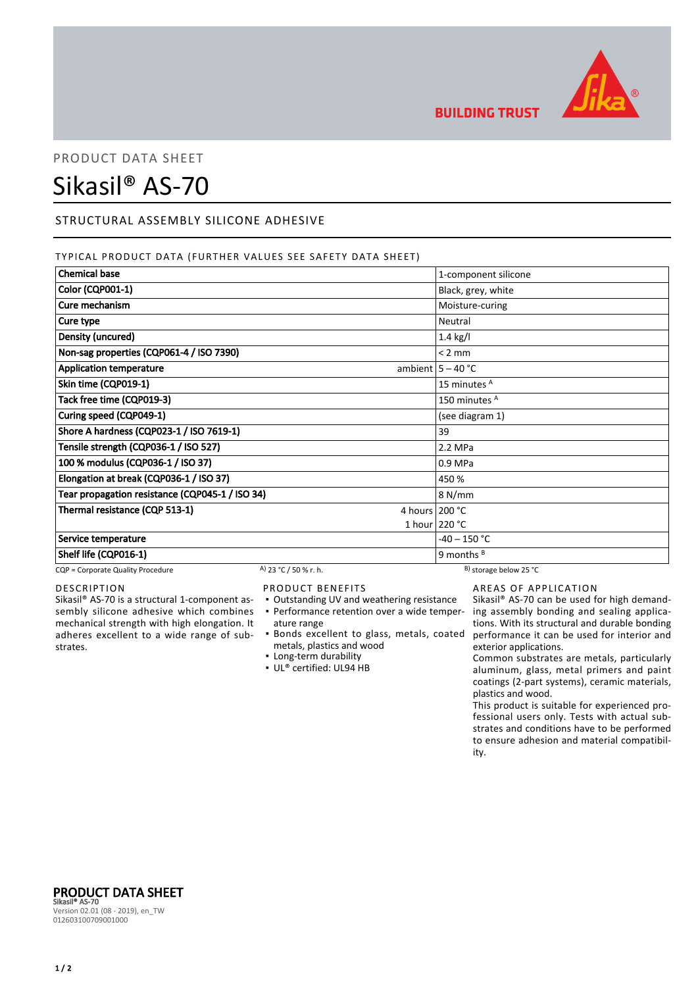

**BUILDING TRUST** 

## PRODUCT DATA SHEET

# Sikasil® AS-70

## STRUCTURAL ASSEMBLY SILICONE ADHESIVE

### TYPICAL PRODUCT DATA (FURTHER VALUES SEE SAFETY DATA SHEET)

| <b>Chemical base</b>                            |                       |                  | 1-component silicone         |
|-------------------------------------------------|-----------------------|------------------|------------------------------|
| Color (CQP001-1)                                |                       |                  | Black, grey, white           |
| Cure mechanism                                  |                       |                  | Moisture-curing              |
| Cure type                                       |                       |                  | Neutral                      |
| Density (uncured)                               |                       |                  | $1.4$ kg/l                   |
| Non-sag properties (CQP061-4 / ISO 7390)        |                       |                  | $< 2$ mm                     |
| <b>Application temperature</b>                  |                       |                  | ambient $5 - 40$ °C          |
| Skin time (CQP019-1)                            |                       |                  | 15 minutes <sup>A</sup>      |
| Tack free time (CQP019-3)                       |                       |                  | 150 minutes <sup>A</sup>     |
| Curing speed (CQP049-1)                         |                       |                  | (see diagram 1)              |
| Shore A hardness (CQP023-1 / ISO 7619-1)        |                       | 39               |                              |
| Tensile strength (CQP036-1 / ISO 527)           |                       | 2.2 MPa          |                              |
| 100 % modulus (CQP036-1 / ISO 37)               |                       | 0.9 MPa          |                              |
| Elongation at break (CQP036-1 / ISO 37)         |                       | 450 %            |                              |
| Tear propagation resistance (CQP045-1 / ISO 34) |                       |                  | 8 N/mm                       |
| Thermal resistance (CQP 513-1)                  |                       | 4 hours $200 °C$ |                              |
|                                                 |                       |                  | 1 hour $220 °C$              |
| Service temperature                             |                       |                  | -40 – 150 °C                 |
| Shelf life (CQP016-1)                           |                       |                  | 9 months $B$                 |
| CQP = Corporate Quality Procedure               | A) 23 °C / 50 % r. h. |                  | $^{B}$ ) storage below 25 °C |

## DESCRIPTION

Sikasil® AS-70 is a structural 1-component assembly silicone adhesive which combines mechanical strength with high elongation. It adheres excellent to a wide range of substrates.

## PRODUCT BENEFITS

- Outstanding UV and weathering resistance
- ature range
- Bonds excellent to glass, metals, coated metals, plastics and wood
- Long-term durability
- UL® certified: UL94 HB

## AREAS OF APPLICATION

• Performance retention over a wide temper- ing assembly bonding and sealing applica-Sikasil® AS-70 can be used for high demandtions. With its structural and durable bonding performance it can be used for interior and exterior applications.

Common substrates are metals, particularly aluminum, glass, metal primers and paint coatings (2-part systems), ceramic materials, plastics and wood.

This product is suitable for experienced professional users only. Tests with actual substrates and conditions have to be performed to ensure adhesion and material compatibility.

PRODUCT DATA SHEET Sikasil® AS-70 Version 02.01 (08 - 2019), en\_TW 012603100709001000